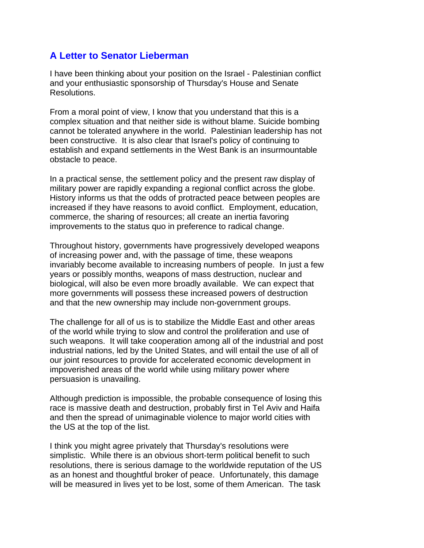## **A Letter to Senator Lieberman**

I have been thinking about your position on the Israel - Palestinian conflict and your enthusiastic sponsorship of Thursday's House and Senate Resolutions.

From a moral point of view, I know that you understand that this is a complex situation and that neither side is without blame. Suicide bombing cannot be tolerated anywhere in the world. Palestinian leadership has not been constructive. It is also clear that Israel's policy of continuing to establish and expand settlements in the West Bank is an insurmountable obstacle to peace.

In a practical sense, the settlement policy and the present raw display of military power are rapidly expanding a regional conflict across the globe. History informs us that the odds of protracted peace between peoples are increased if they have reasons to avoid conflict. Employment, education, commerce, the sharing of resources; all create an inertia favoring improvements to the status quo in preference to radical change.

Throughout history, governments have progressively developed weapons of increasing power and, with the passage of time, these weapons invariably become available to increasing numbers of people. In just a few years or possibly months, weapons of mass destruction, nuclear and biological, will also be even more broadly available. We can expect that more governments will possess these increased powers of destruction and that the new ownership may include non-government groups.

The challenge for all of us is to stabilize the Middle East and other areas of the world while trying to slow and control the proliferation and use of such weapons. It will take cooperation among all of the industrial and post industrial nations, led by the United States, and will entail the use of all of our joint resources to provide for accelerated economic development in impoverished areas of the world while using military power where persuasion is unavailing.

Although prediction is impossible, the probable consequence of losing this race is massive death and destruction, probably first in Tel Aviv and Haifa and then the spread of unimaginable violence to major world cities with the US at the top of the list.

I think you might agree privately that Thursday's resolutions were simplistic. While there is an obvious short-term political benefit to such resolutions, there is serious damage to the worldwide reputation of the US as an honest and thoughtful broker of peace. Unfortunately, this damage will be measured in lives yet to be lost, some of them American. The task